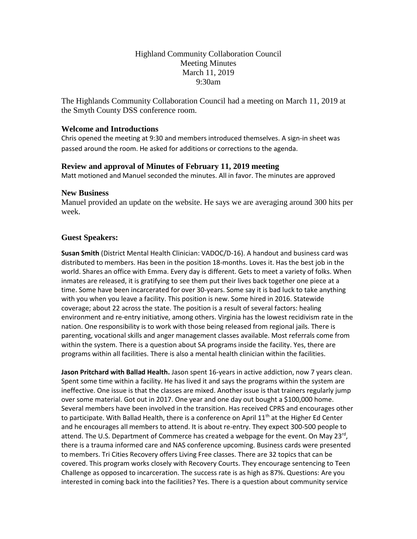# Highland Community Collaboration Council Meeting Minutes March 11, 2019 9:30am

The Highlands Community Collaboration Council had a meeting on March 11, 2019 at the Smyth County DSS conference room.

## **Welcome and Introductions**

Chris opened the meeting at 9:30 and members introduced themselves. A sign-in sheet was passed around the room. He asked for additions or corrections to the agenda.

## **Review and approval of Minutes of February 11, 2019 meeting**

Matt motioned and Manuel seconded the minutes. All in favor. The minutes are approved

### **New Business**

Manuel provided an update on the website. He says we are averaging around 300 hits per week.

## **Guest Speakers:**

**Susan Smith** (District Mental Health Clinician: VADOC/D-16). A handout and business card was distributed to members. Has been in the position 18-months. Loves it. Has the best job in the world. Shares an office with Emma. Every day is different. Gets to meet a variety of folks. When inmates are released, it is gratifying to see them put their lives back together one piece at a time. Some have been incarcerated for over 30-years. Some say it is bad luck to take anything with you when you leave a facility. This position is new. Some hired in 2016. Statewide coverage; about 22 across the state. The position is a result of several factors: healing environment and re-entry initiative, among others. Virginia has the lowest recidivism rate in the nation. One responsibility is to work with those being released from regional jails. There is parenting, vocational skills and anger management classes available. Most referrals come from within the system. There is a question about SA programs inside the facility. Yes, there are programs within all facilities. There is also a mental health clinician within the facilities.

**Jason Pritchard with Ballad Health.** Jason spent 16-years in active addiction, now 7 years clean. Spent some time within a facility. He has lived it and says the programs within the system are ineffective. One issue is that the classes are mixed. Another issue is that trainers regularly jump over some material. Got out in 2017. One year and one day out bought a \$100,000 home. Several members have been involved in the transition. Has received CPRS and encourages other to participate. With Ballad Health, there is a conference on April  $11<sup>th</sup>$  at the Higher Ed Center and he encourages all members to attend. It is about re-entry. They expect 300-500 people to attend. The U.S. Department of Commerce has created a webpage for the event. On May 23<sup>rd</sup>, there is a trauma informed care and NAS conference upcoming. Business cards were presented to members. Tri Cities Recovery offers Living Free classes. There are 32 topics that can be covered. This program works closely with Recovery Courts. They encourage sentencing to Teen Challenge as opposed to incarceration. The success rate is as high as 87%. Questions: Are you interested in coming back into the facilities? Yes. There is a question about community service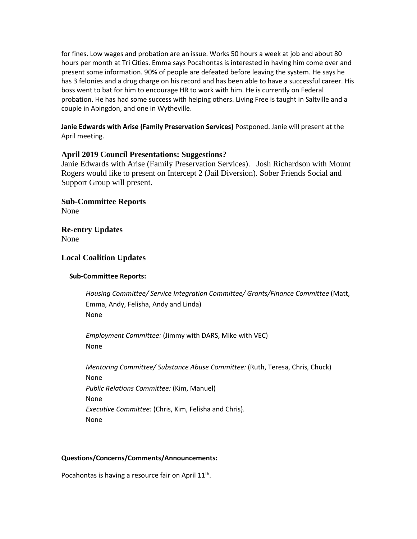for fines. Low wages and probation are an issue. Works 50 hours a week at job and about 80 hours per month at Tri Cities. Emma says Pocahontas is interested in having him come over and present some information. 90% of people are defeated before leaving the system. He says he has 3 felonies and a drug charge on his record and has been able to have a successful career. His boss went to bat for him to encourage HR to work with him. He is currently on Federal probation. He has had some success with helping others. Living Free is taught in Saltville and a couple in Abingdon, and one in Wytheville.

### **Janie Edwards with Arise (Family Preservation Services)** Postponed. Janie will present at the April meeting.

## **April 2019 Council Presentations: Suggestions?**

Janie Edwards with Arise (Family Preservation Services). Josh Richardson with Mount Rogers would like to present on Intercept 2 (Jail Diversion). Sober Friends Social and Support Group will present.

**Sub-Committee Reports** None

**Re-entry Updates** None

### **Local Coalition Updates**

#### **Sub-Committee Reports:**

*Housing Committee/ Service Integration Committee/ Grants/Finance Committee* (Matt, Emma, Andy, Felisha, Andy and Linda) None

*Employment Committee:* (Jimmy with DARS, Mike with VEC) None

*Mentoring Committee/ Substance Abuse Committee:* (Ruth, Teresa, Chris, Chuck) None *Public Relations Committee:* (Kim, Manuel) None *Executive Committee:* (Chris, Kim, Felisha and Chris). None

#### **Questions/Concerns/Comments/Announcements:**

Pocahontas is having a resource fair on April  $11<sup>th</sup>$ .